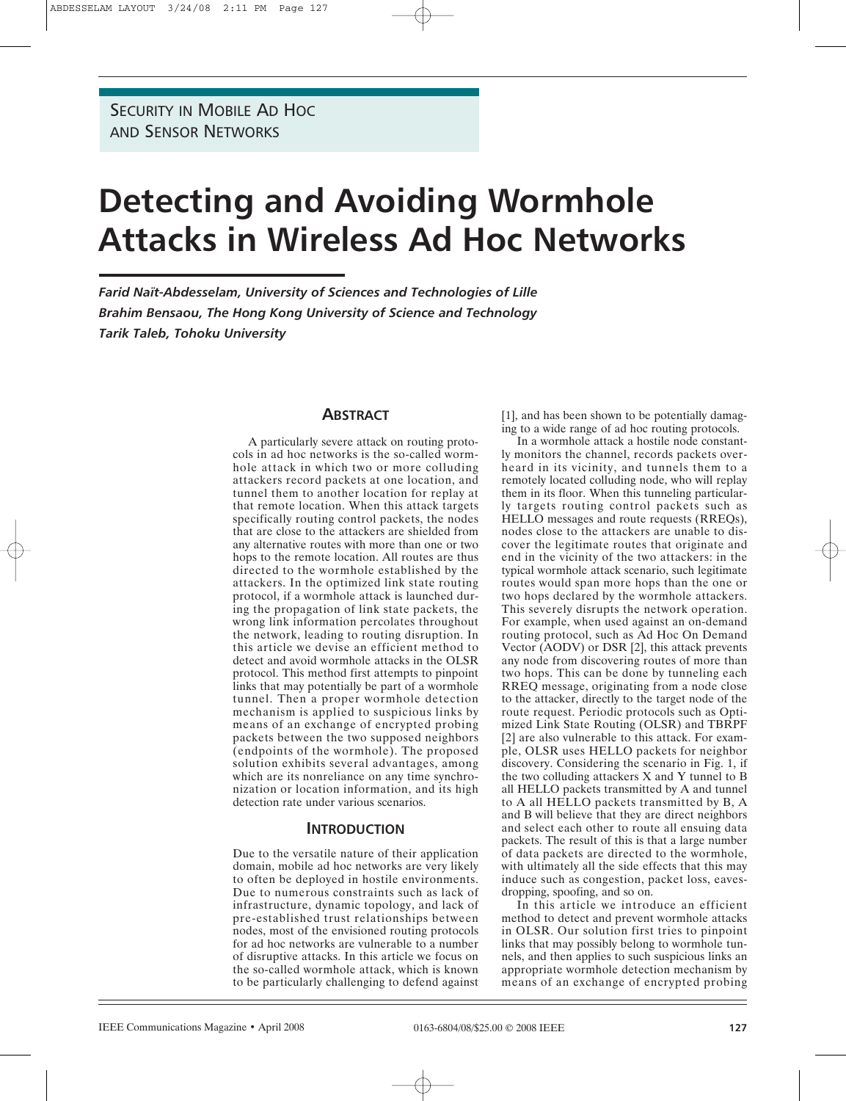# **Detecting and Avoiding Wormhole Attacks in Wireless Ad Hoc Networks**

*Farid Naït-Abdesselam, University of Sciences and Technologies of Lille Brahim Bensaou, The Hong Kong University of Science and Technology Tarik Taleb, Tohoku University*

# **ABSTRACT**

A particularly severe attack on routing protocols in ad hoc networks is the so-called wormhole attack in which two or more colluding attackers record packets at one location, and tunnel them to another location for replay at that remote location. When this attack targets specifically routing control packets, the nodes that are close to the attackers are shielded from any alternative routes with more than one or two hops to the remote location. All routes are thus directed to the wormhole established by the attackers. In the optimized link state routing protocol, if a wormhole attack is launched during the propagation of link state packets, the wrong link information percolates throughout the network, leading to routing disruption. In this article we devise an efficient method to detect and avoid wormhole attacks in the OLSR protocol. This method first attempts to pinpoint links that may potentially be part of a wormhole tunnel. Then a proper wormhole detection mechanism is applied to suspicious links by means of an exchange of encrypted probing packets between the two supposed neighbors (endpoints of the wormhole). The proposed solution exhibits several advantages, among which are its nonreliance on any time synchronization or location information, and its high detection rate under various scenarios.

## **INTRODUCTION**

Due to the versatile nature of their application domain, mobile ad hoc networks are very likely to often be deployed in hostile environments. Due to numerous constraints such as lack of infrastructure, dynamic topology, and lack of pre-established trust relationships between nodes, most of the envisioned routing protocols for ad hoc networks are vulnerable to a number of disruptive attacks. In this article we focus on the so-called wormhole attack, which is known to be particularly challenging to defend against

[1], and has been shown to be potentially damaging to a wide range of ad hoc routing protocols.

In a wormhole attack a hostile node constantly monitors the channel, records packets overheard in its vicinity, and tunnels them to a remotely located colluding node, who will replay them in its floor. When this tunneling particularly targets routing control packets such as HELLO messages and route requests (RREQs), nodes close to the attackers are unable to discover the legitimate routes that originate and end in the vicinity of the two attackers: in the typical wormhole attack scenario, such legitimate routes would span more hops than the one or two hops declared by the wormhole attackers. This severely disrupts the network operation. For example, when used against an on-demand routing protocol, such as Ad Hoc On Demand Vector (AODV) or DSR [2], this attack prevents any node from discovering routes of more than two hops. This can be done by tunneling each RREQ message, originating from a node close to the attacker, directly to the target node of the route request. Periodic protocols such as Optimized Link State Routing (OLSR) and TBRPF [2] are also vulnerable to this attack. For example, OLSR uses HELLO packets for neighbor discovery. Considering the scenario in Fig. 1, if the two colluding attackers X and Y tunnel to B all HELLO packets transmitted by A and tunnel to A all HELLO packets transmitted by B, A and B will believe that they are direct neighbors and select each other to route all ensuing data packets. The result of this is that a large number of data packets are directed to the wormhole, with ultimately all the side effects that this may induce such as congestion, packet loss, eavesdropping, spoofing, and so on.

In this article we introduce an efficient method to detect and prevent wormhole attacks in OLSR. Our solution first tries to pinpoint links that may possibly belong to wormhole tunnels, and then applies to such suspicious links an appropriate wormhole detection mechanism by means of an exchange of encrypted probing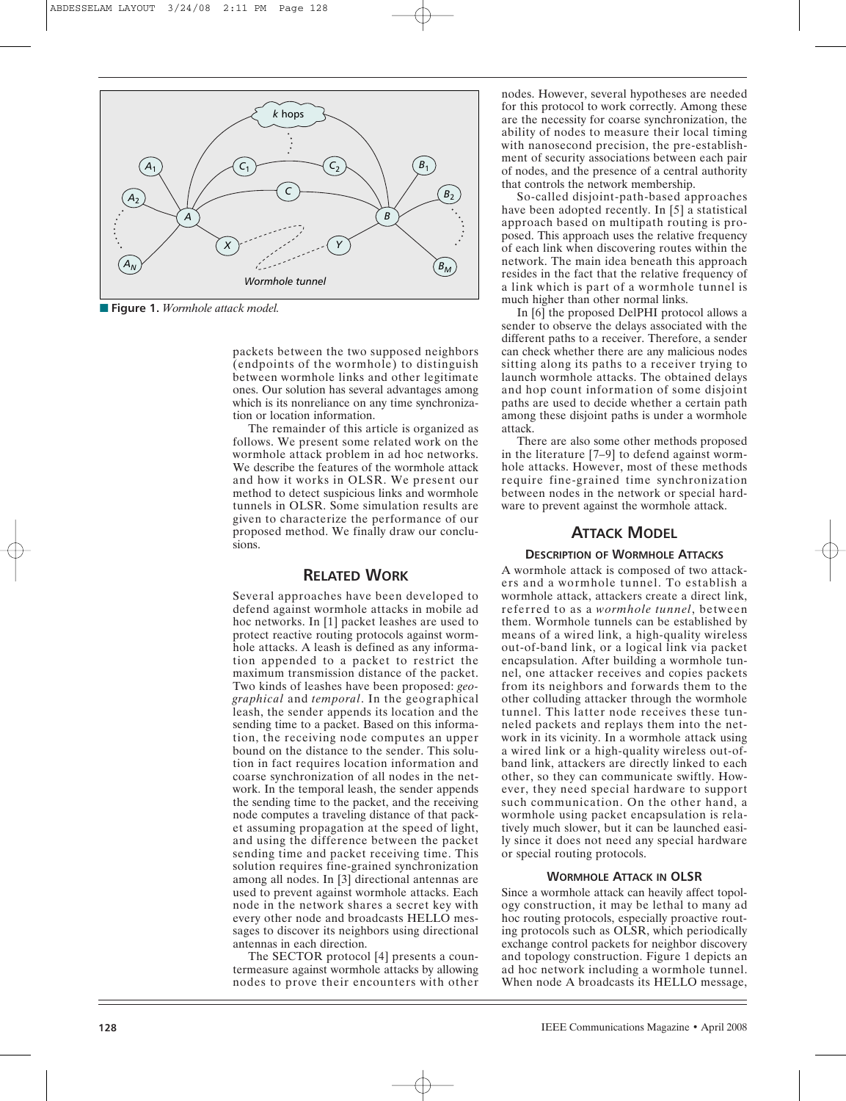

**■ Figure 1.** *Wormhole attack model.*

packets between the two supposed neighbors (endpoints of the wormhole) to distinguish between wormhole links and other legitimate ones. Our solution has several advantages among which is its nonreliance on any time synchronization or location information.

The remainder of this article is organized as follows. We present some related work on the wormhole attack problem in ad hoc networks. We describe the features of the wormhole attack and how it works in OLSR. We present our method to detect suspicious links and wormhole tunnels in OLSR. Some simulation results are given to characterize the performance of our proposed method. We finally draw our conclusions.

# **RELATED WORK**

Several approaches have been developed to defend against wormhole attacks in mobile ad hoc networks. In [1] packet leashes are used to protect reactive routing protocols against wormhole attacks. A leash is defined as any information appended to a packet to restrict the maximum transmission distance of the packet. Two kinds of leashes have been proposed: *geographical* and *temporal*. In the geographical leash, the sender appends its location and the sending time to a packet. Based on this information, the receiving node computes an upper bound on the distance to the sender. This solution in fact requires location information and coarse synchronization of all nodes in the network. In the temporal leash, the sender appends the sending time to the packet, and the receiving node computes a traveling distance of that packet assuming propagation at the speed of light, and using the difference between the packet sending time and packet receiving time. This solution requires fine-grained synchronization among all nodes. In [3] directional antennas are used to prevent against wormhole attacks. Each node in the network shares a secret key with every other node and broadcasts HELLO messages to discover its neighbors using directional antennas in each direction.

The SECTOR protocol [4] presents a countermeasure against wormhole attacks by allowing nodes to prove their encounters with other nodes. However, several hypotheses are needed for this protocol to work correctly. Among these are the necessity for coarse synchronization, the ability of nodes to measure their local timing with nanosecond precision, the pre-establishment of security associations between each pair of nodes, and the presence of a central authority that controls the network membership.

So-called disjoint-path-based approaches have been adopted recently. In [5] a statistical approach based on multipath routing is proposed. This approach uses the relative frequency of each link when discovering routes within the network. The main idea beneath this approach resides in the fact that the relative frequency of a link which is part of a wormhole tunnel is much higher than other normal links.

In [6] the proposed DelPHI protocol allows a sender to observe the delays associated with the different paths to a receiver. Therefore, a sender can check whether there are any malicious nodes sitting along its paths to a receiver trying to launch wormhole attacks. The obtained delays and hop count information of some disjoint paths are used to decide whether a certain path among these disjoint paths is under a wormhole attack.

There are also some other methods proposed in the literature [7–9] to defend against wormhole attacks. However, most of these methods require fine-grained time synchronization between nodes in the network or special hardware to prevent against the wormhole attack.

## **ATTACK MODEL**

## **DESCRIPTION OF WORMHOLE ATTACKS**

A wormhole attack is composed of two attackers and a wormhole tunnel. To establish a wormhole attack, attackers create a direct link, referred to as a *wormhole tunnel*, between them. Wormhole tunnels can be established by means of a wired link, a high-quality wireless out-of-band link, or a logical link via packet encapsulation. After building a wormhole tunnel, one attacker receives and copies packets from its neighbors and forwards them to the other colluding attacker through the wormhole tunnel. This latter node receives these tunneled packets and replays them into the network in its vicinity. In a wormhole attack using a wired link or a high-quality wireless out-ofband link, attackers are directly linked to each other, so they can communicate swiftly. However, they need special hardware to support such communication. On the other hand, a wormhole using packet encapsulation is relatively much slower, but it can be launched easily since it does not need any special hardware or special routing protocols.

## **WORMHOLE ATTACK IN OLSR**

Since a wormhole attack can heavily affect topology construction, it may be lethal to many ad hoc routing protocols, especially proactive routing protocols such as OLSR, which periodically exchange control packets for neighbor discovery and topology construction. Figure 1 depicts an ad hoc network including a wormhole tunnel. When node A broadcasts its HELLO message,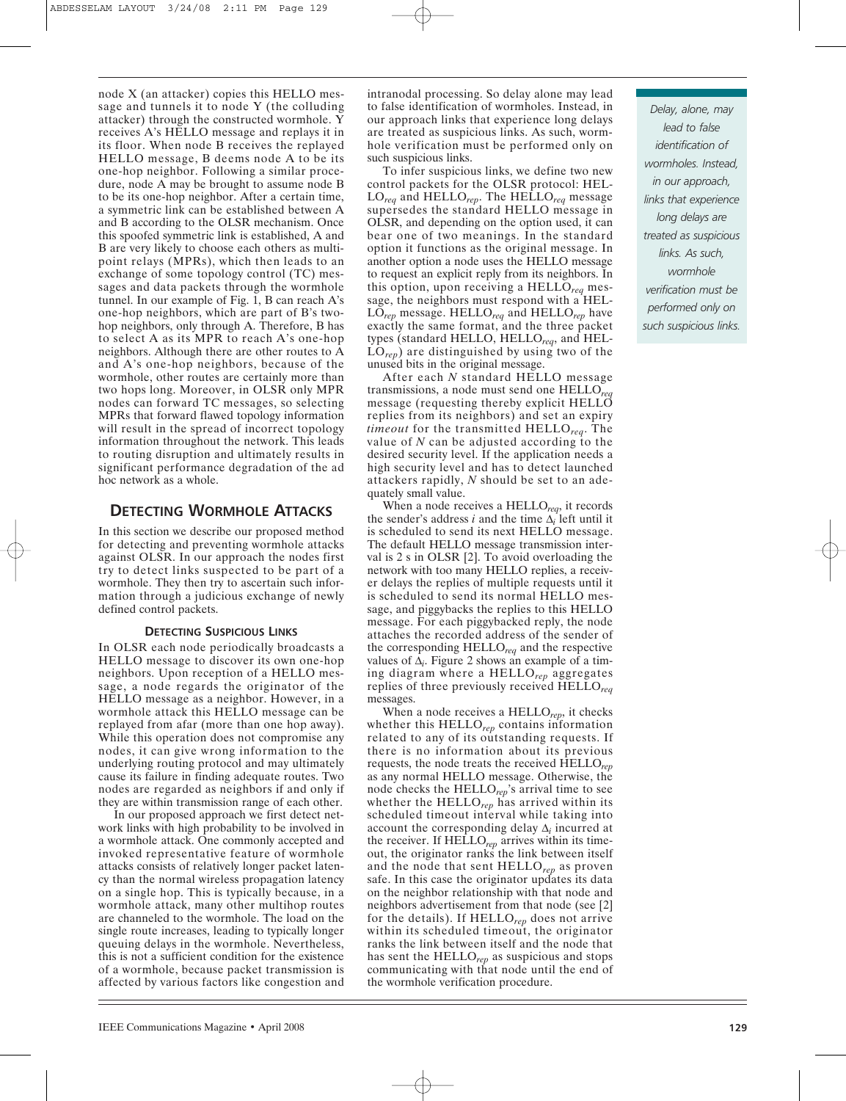node X (an attacker) copies this HELLO message and tunnels it to node Y (the colluding attacker) through the constructed wormhole. Y receives A's HELLO message and replays it in its floor. When node B receives the replayed HELLO message, B deems node A to be its one-hop neighbor. Following a similar procedure, node A may be brought to assume node B to be its one-hop neighbor. After a certain time, a symmetric link can be established between A and B according to the OLSR mechanism. Once this spoofed symmetric link is established, A and B are very likely to choose each others as multipoint relays (MPRs), which then leads to an exchange of some topology control (TC) messages and data packets through the wormhole tunnel. In our example of Fig. 1, B can reach A's one-hop neighbors, which are part of B's twohop neighbors, only through A. Therefore, B has to select A as its MPR to reach A's one-hop neighbors. Although there are other routes to A and A's one-hop neighbors, because of the wormhole, other routes are certainly more than two hops long. Moreover, in OLSR only MPR nodes can forward TC messages, so selecting MPRs that forward flawed topology information will result in the spread of incorrect topology information throughout the network. This leads to routing disruption and ultimately results in significant performance degradation of the ad hoc network as a whole.

# **DETECTING WORMHOLE ATTACKS**

In this section we describe our proposed method for detecting and preventing wormhole attacks against OLSR. In our approach the nodes first try to detect links suspected to be part of a wormhole. They then try to ascertain such information through a judicious exchange of newly defined control packets.

#### **DETECTING SUSPICIOUS LINKS**

In OLSR each node periodically broadcasts a HELLO message to discover its own one-hop neighbors. Upon reception of a HELLO message, a node regards the originator of the HELLO message as a neighbor. However, in a wormhole attack this HELLO message can be replayed from afar (more than one hop away). While this operation does not compromise any nodes, it can give wrong information to the underlying routing protocol and may ultimately cause its failure in finding adequate routes. Two nodes are regarded as neighbors if and only if they are within transmission range of each other.

In our proposed approach we first detect network links with high probability to be involved in a wormhole attack. One commonly accepted and invoked representative feature of wormhole attacks consists of relatively longer packet latency than the normal wireless propagation latency on a single hop. This is typically because, in a wormhole attack, many other multihop routes are channeled to the wormhole. The load on the single route increases, leading to typically longer queuing delays in the wormhole. Nevertheless, this is not a sufficient condition for the existence of a wormhole, because packet transmission is affected by various factors like congestion and intranodal processing. So delay alone may lead to false identification of wormholes. Instead, in our approach links that experience long delays are treated as suspicious links. As such, wormhole verification must be performed only on such suspicious links.

To infer suspicious links, we define two new control packets for the OLSR protocol: HEL-LO*req* and HELLO*rep*. The HELLO*req* message supersedes the standard HELLO message in OLSR, and depending on the option used, it can bear one of two meanings. In the standard option it functions as the original message. In another option a node uses the HELLO message to request an explicit reply from its neighbors. In this option, upon receiving a HELLO*req* message, the neighbors must respond with a HEL-LO*rep* message. HELLO*req* and HELLO*rep* have exactly the same format, and the three packet types (standard HELLO, HELLO*req*, and HEL- $LO_{rep}$ ) are distinguished by using two of the unused bits in the original message.

After each *N* standard HELLO message transmissions, a node must send one HELLO*req* message (requesting thereby explicit HELLO replies from its neighbors) and set an expiry *timeout* for the transmitted HELLO*req*. The value of *N* can be adjusted according to the desired security level. If the application needs a high security level and has to detect launched attackers rapidly, *N* should be set to an adequately small value.

When a node receives a HELLO*req*, it records the sender's address *i* and the time  $\Delta$ *i* left until it is scheduled to send its next HELLO message. The default HELLO message transmission interval is 2 s in OLSR [2]. To avoid overloading the network with too many HELLO replies, a receiver delays the replies of multiple requests until it is scheduled to send its normal HELLO message, and piggybacks the replies to this HELLO message. For each piggybacked reply, the node attaches the recorded address of the sender of the corresponding HELLO*req* and the respective values of  $\Delta_i$ . Figure 2 shows an example of a timing diagram where a HELLO*rep* aggregates replies of three previously received HELLO*req* messages.

When a node receives a HELLO*rep*, it checks whether this HELLO*rep* contains information related to any of its outstanding requests. If there is no information about its previous requests, the node treats the received HELLO*rep* as any normal HELLO message. Otherwise, the node checks the HELLO*rep*'s arrival time to see whether the HELLO*rep* has arrived within its scheduled timeout interval while taking into account the corresponding delay ∆*<sup>i</sup>* incurred at the receiver. If HELLO*rep* arrives within its timeout, the originator ranks the link between itself and the node that sent HELLO*rep* as proven safe. In this case the originator updates its data on the neighbor relationship with that node and neighbors advertisement from that node (see [2] for the details). If HELLO*rep* does not arrive within its scheduled timeout, the originator ranks the link between itself and the node that has sent the HELLO*rep* as suspicious and stops communicating with that node until the end of the wormhole verification procedure.

*Delay, alone, may lead to false identification of wormholes. Instead, in our approach, links that experience long delays are treated as suspicious links. As such, wormhole verification must be performed only on such suspicious links.*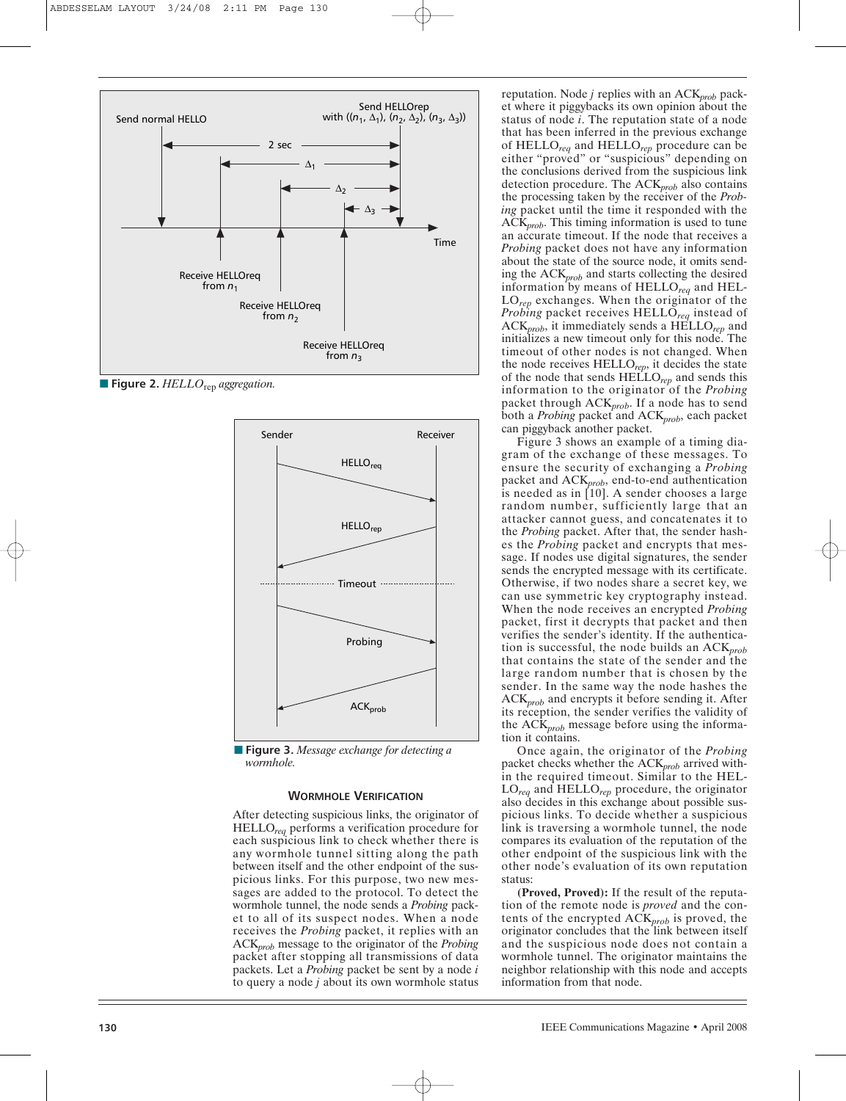

**■ Figure 2.** *HELLO*rep *aggregation.*



**■ Figure 3.** *Message exchange for detecting a wormhole.*

## **WORMHOLE VERIFICATION**

After detecting suspicious links, the originator of HELLO*req* performs a verification procedure for each suspicious link to check whether there is any wormhole tunnel sitting along the path between itself and the other endpoint of the suspicious links. For this purpose, two new messages are added to the protocol. To detect the wormhole tunnel, the node sends a *Probing* packet to all of its suspect nodes. When a node receives the *Probing* packet, it replies with an ACK*prob* message to the originator of the *Probing* packet after stopping all transmissions of data packets. Let a *Probing* packet be sent by a node *i* to query a node *j* about its own wormhole status

reputation. Node *j* replies with an ACK*prob* packet where it piggybacks its own opinion about the status of node *i*. The reputation state of a node that has been inferred in the previous exchange of HELLO*req* and HELLO*rep* procedure can be either "proved" or "suspicious" depending on the conclusions derived from the suspicious link detection procedure. The ACK*prob* also contains the processing taken by the receiver of the *Probing* packet until the time it responded with the ACK*prob*. This timing information is used to tune an accurate timeout. If the node that receives a *Probing* packet does not have any information about the state of the source node, it omits sending the ACK*prob* and starts collecting the desired information by means of HELLO*req* and HEL-LO*rep* exchanges. When the originator of the *Probing* packet receives HELLO*req* instead of ACK*prob*, it immediately sends a HELLO*rep* and initializes a new timeout only for this node. The timeout of other nodes is not changed. When the node receives HELLO*rep*, it decides the state of the node that sends HELLO*rep* and sends this information to the originator of the *Probing* packet through ACK*prob*. If a node has to send both a *Probing* packet and ACK*prob*, each packet can piggyback another packet.

Figure 3 shows an example of a timing diagram of the exchange of these messages. To ensure the security of exchanging a *Probing* packet and ACK*prob*, end-to-end authentication is needed as in [10]. A sender chooses a large random number, sufficiently large that an attacker cannot guess, and concatenates it to the *Probing* packet. After that, the sender hashes the *Probing* packet and encrypts that message. If nodes use digital signatures, the sender sends the encrypted message with its certificate. Otherwise, if two nodes share a secret key, we can use symmetric key cryptography instead. When the node receives an encrypted *Probing* packet, first it decrypts that packet and then verifies the sender's identity. If the authentication is successful, the node builds an ACK*prob* that contains the state of the sender and the large random number that is chosen by the sender. In the same way the node hashes the ACK*prob* and encrypts it before sending it. After its reception, the sender verifies the validity of the ACK*prob* message before using the information it contains.

Once again, the originator of the *Probing* packet checks whether the ACK*prob* arrived within the required timeout. Similar to the HEL-LO*req* and HELLO*rep* procedure, the originator also decides in this exchange about possible suspicious links. To decide whether a suspicious link is traversing a wormhole tunnel, the node compares its evaluation of the reputation of the other endpoint of the suspicious link with the other node's evaluation of its own reputation status:

**(Proved, Proved):** If the result of the reputation of the remote node is *proved* and the contents of the encrypted ACK*prob* is proved, the originator concludes that the link between itself and the suspicious node does not contain a wormhole tunnel. The originator maintains the neighbor relationship with this node and accepts information from that node.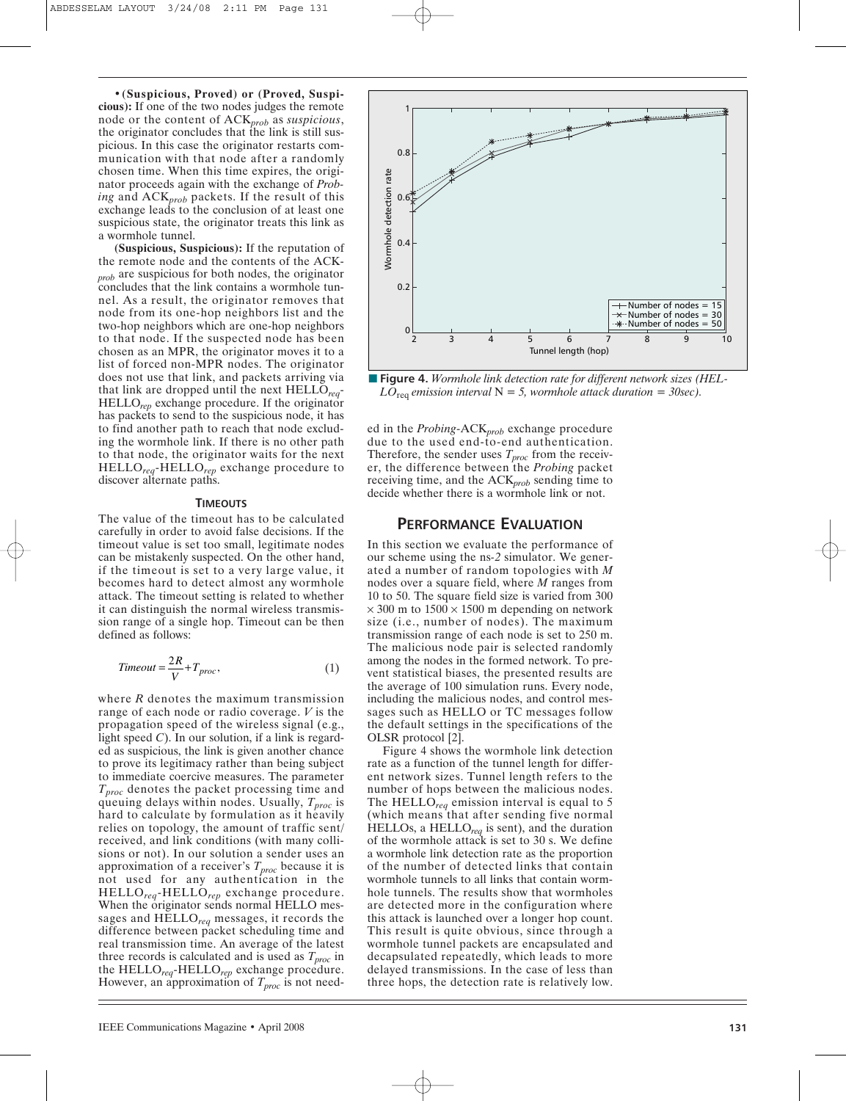•**(Suspicious, Proved) or (Proved, Suspicious):** If one of the two nodes judges the remote node or the content of ACK*prob* as *suspicious*, the originator concludes that the link is still suspicious. In this case the originator restarts communication with that node after a randomly chosen time. When this time expires, the originator proceeds again with the exchange of *Probing* and ACK*prob* packets. If the result of this exchange leads to the conclusion of at least one suspicious state, the originator treats this link as a wormhole tunnel.

**(Suspicious, Suspicious):** If the reputation of the remote node and the contents of the ACK*prob* are suspicious for both nodes, the originator concludes that the link contains a wormhole tunnel. As a result, the originator removes that node from its one-hop neighbors list and the two-hop neighbors which are one-hop neighbors to that node. If the suspected node has been chosen as an MPR, the originator moves it to a list of forced non-MPR nodes. The originator does not use that link, and packets arriving via that link are dropped until the next HELLO*req*-HELLO*rep* exchange procedure. If the originator has packets to send to the suspicious node, it has to find another path to reach that node excluding the wormhole link. If there is no other path to that node, the originator waits for the next HELLO*req*-HELLO*rep* exchange procedure to discover alternate paths.

#### **TIMEOUTS**

The value of the timeout has to be calculated carefully in order to avoid false decisions. If the timeout value is set too small, legitimate nodes can be mistakenly suspected. On the other hand, if the timeout is set to a very large value, it becomes hard to detect almost any wormhole attack. The timeout setting is related to whether it can distinguish the normal wireless transmission range of a single hop. Timeout can be then defined as follows:

$$
Timeout = \frac{2R}{V} + T_{proc},\tag{1}
$$

where *R* denotes the maximum transmission range of each node or radio coverage. *V* is the propagation speed of the wireless signal (e.g., light speed *C*). In our solution, if a link is regarded as suspicious, the link is given another chance to prove its legitimacy rather than being subject to immediate coercive measures. The parameter *Tproc* denotes the packet processing time and queuing delays within nodes. Usually, *Tproc* is hard to calculate by formulation as it heavily relies on topology, the amount of traffic sent/ received, and link conditions (with many collisions or not). In our solution a sender uses an approximation of a receiver's *Tproc* because it is not used for any authentication in the HELLO*req*-HELLO*rep* exchange procedure. When the originator sends normal HELLO messages and HELLO*req* messages, it records the difference between packet scheduling time and real transmission time. An average of the latest three records is calculated and is used as *Tproc* in the HELLO*req*-HELLO*rep* exchange procedure. However, an approximation of  $T_{proc}$  is not need-



■ **Figure 4.** *Wormhole link detection rate for different network sizes (HEL-* $LO_{\text{rea}}$  *emission interval*  $N = 5$ *, wormhole attack duration = 30sec).* 

ed in the *Probing*-ACK*prob* exchange procedure due to the used end-to-end authentication. Therefore, the sender uses  $T_{proc}$  from the receiver, the difference between the *Probing* packet receiving time, and the ACK*prob* sending time to decide whether there is a wormhole link or not.

# **PERFORMANCE EVALUATION**

In this section we evaluate the performance of our scheme using the ns*-2* simulator. We generated a number of random topologies with *M* nodes over a square field, where *M* ranges from 10 to 50. The square field size is varied from 300  $\times$  300 m to 1500  $\times$  1500 m depending on network size (i.e., number of nodes). The maximum transmission range of each node is set to 250 m. The malicious node pair is selected randomly among the nodes in the formed network. To prevent statistical biases, the presented results are the average of 100 simulation runs. Every node, including the malicious nodes, and control messages such as HELLO or TC messages follow the default settings in the specifications of the OLSR protocol [2].

Figure 4 shows the wormhole link detection rate as a function of the tunnel length for different network sizes. Tunnel length refers to the number of hops between the malicious nodes. The HELLO*req* emission interval is equal to 5 (which means that after sending five normal HELLOs, a HELLO*req* is sent), and the duration of the wormhole attack is set to 30 s. We define a wormhole link detection rate as the proportion of the number of detected links that contain wormhole tunnels to all links that contain wormhole tunnels. The results show that wormholes are detected more in the configuration where this attack is launched over a longer hop count. This result is quite obvious, since through a wormhole tunnel packets are encapsulated and decapsulated repeatedly, which leads to more delayed transmissions. In the case of less than three hops, the detection rate is relatively low.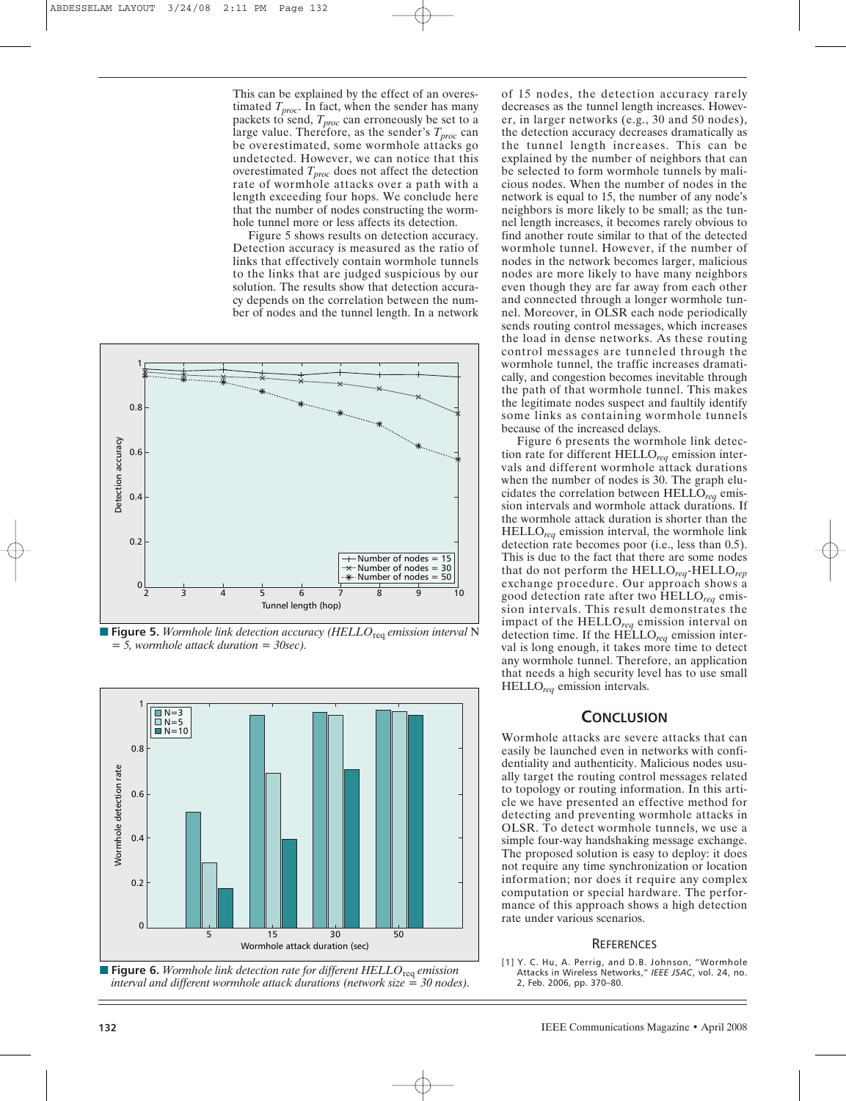This can be explained by the effect of an overestimated  $T_{proc}$ . In fact, when the sender has many packets to send,  $T_{proc}$  can erroneously be set to a large value. Therefore, as the sender's *Tproc* can be overestimated, some wormhole attacks go undetected. However, we can notice that this overestimated *Tproc* does not affect the detection rate of wormhole attacks over a path with a length exceeding four hops. We conclude here that the number of nodes constructing the wormhole tunnel more or less affects its detection.

Figure 5 shows results on detection accuracy. Detection accuracy is measured as the ratio of links that effectively contain wormhole tunnels to the links that are judged suspicious by our solution. The results show that detection accuracy depends on the correlation between the number of nodes and the tunnel length. In a network



■ **Figure 5.** *Wormhole link detection accuracy (HELLO<sub>req</sub> emission interval N = 5, wormhole attack duration = 30sec).*





of 15 nodes, the detection accuracy rarely decreases as the tunnel length increases. However, in larger networks (e.g., 30 and 50 nodes), the detection accuracy decreases dramatically as the tunnel length increases. This can be explained by the number of neighbors that can be selected to form wormhole tunnels by malicious nodes. When the number of nodes in the network is equal to 15, the number of any node's neighbors is more likely to be small; as the tunnel length increases, it becomes rarely obvious to find another route similar to that of the detected wormhole tunnel. However, if the number of nodes in the network becomes larger, malicious nodes are more likely to have many neighbors even though they are far away from each other and connected through a longer wormhole tunnel. Moreover, in OLSR each node periodically sends routing control messages, which increases the load in dense networks. As these routing control messages are tunneled through the wormhole tunnel, the traffic increases dramatically, and congestion becomes inevitable through the path of that wormhole tunnel. This makes the legitimate nodes suspect and faultily identify some links as containing wormhole tunnels because of the increased delays.

Figure 6 presents the wormhole link detection rate for different HELLO*req* emission intervals and different wormhole attack durations when the number of nodes is 30. The graph elucidates the correlation between HELLO*req* emission intervals and wormhole attack durations. If the wormhole attack duration is shorter than the HELLO*req* emission interval, the wormhole link detection rate becomes poor (i.e., less than 0.5). This is due to the fact that there are some nodes that do not perform the HELLO*req*-HELLO*rep* exchange procedure. Our approach shows a good detection rate after two HELLO*req* emission intervals. This result demonstrates the impact of the HELLO*req* emission interval on detection time. If the HELLO*req* emission interval is long enough, it takes more time to detect any wormhole tunnel. Therefore, an application that needs a high security level has to use small HELLO*req* emission intervals.

# **CONCLUSION**

Wormhole attacks are severe attacks that can easily be launched even in networks with confidentiality and authenticity. Malicious nodes usually target the routing control messages related to topology or routing information. In this article we have presented an effective method for detecting and preventing wormhole attacks in OLSR. To detect wormhole tunnels, we use a simple four-way handshaking message exchange. The proposed solution is easy to deploy: it does not require any time synchronization or location information; nor does it require any complex computation or special hardware. The performance of this approach shows a high detection rate under various scenarios.

## **REFERENCES**

[1] Y. C. Hu, A. Perrig, and D.B. Johnson, "Wormhole Attacks in Wireless Networks," *IEEE JSAC*, vol. 24, no. 2, Feb. 2006, pp. 370–80.